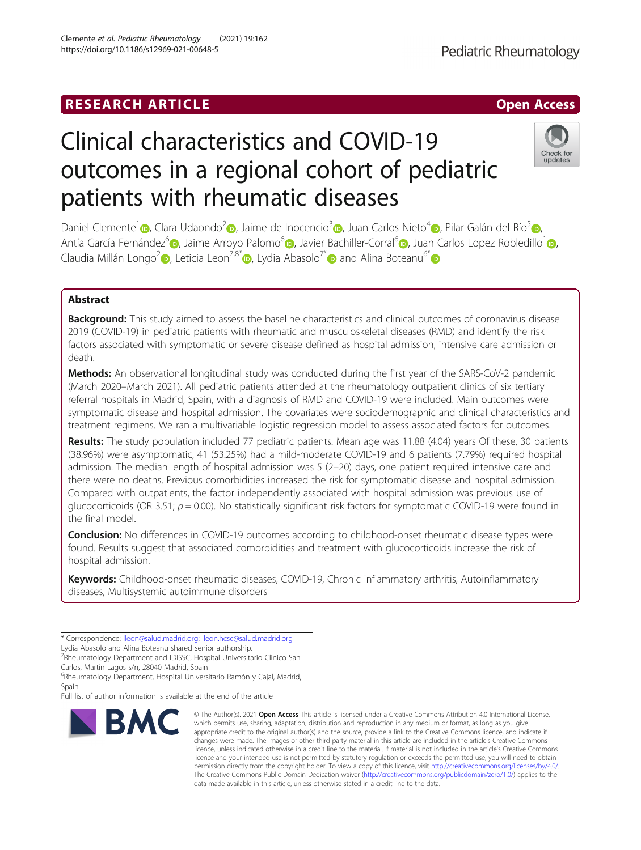# **RESEARCH ARTICLE Example 2018 12:00 Department 2018 12:00 Department 2018 12:00 Department 2018 12:00 Department 2018 12:00 Department 2018 12:00 Department 2018 12:00 Department 2018 12:00 Department 2018 12:00 Departm**

# Clinical characteristics and COVID-19 outcomes in a regional cohort of pediatric patients with rheumatic diseases

Daniel Clemente<sup>[1](https://orcid.org/0000-0002-1605-7488)</sup> (b), Clara Udaondo<sup>[2](https://orcid.org/0000-0001-6223-7140)</sup> (b), Jaime de Inocencio<sup>[3](https://orcid.org/0000-0002-0438-0245)</sup> (b), Juan Carlos Nieto<sup>[4](https://orcid.org/0000-0002-5971-4185)</sup> (b)[,](https://orcid.org/0000-0002-0646-2914) Pilar Galán del Río<sup>5</sup> (b), Antía García Fernández<sup>[6](https://orcid.org/0000-0001-8954-209X)</sup> , Jaime Arroyo Palomo<sup>6</sup> , Javier Bachiller-Corral<sup>6</sup> , Juan Carlos Lopez Robledillo<sup>[1](https://orcid.org/0000-0002-5253-945X)</sup> , Claudia Millán Longo<sup>[2](https://orcid.org/0000-0002-2169-5660)</sup> , Leticia Leon<sup>7,8[\\*](https://orcid.org/0000-0002-7826-6947)</sup> , Lydia Abasolo<sup>7\*</sup> and Alina Boteanu<sup>6\*</sup> and Alina Boteanu<sup>6\*</sup>

## Abstract

**Background:** This study aimed to assess the baseline characteristics and clinical outcomes of coronavirus disease 2019 (COVID-19) in pediatric patients with rheumatic and musculoskeletal diseases (RMD) and identify the risk factors associated with symptomatic or severe disease defined as hospital admission, intensive care admission or death.

Methods: An observational longitudinal study was conducted during the first year of the SARS-CoV-2 pandemic (March 2020–March 2021). All pediatric patients attended at the rheumatology outpatient clinics of six tertiary referral hospitals in Madrid, Spain, with a diagnosis of RMD and COVID-19 were included. Main outcomes were symptomatic disease and hospital admission. The covariates were sociodemographic and clinical characteristics and treatment regimens. We ran a multivariable logistic regression model to assess associated factors for outcomes.

Results: The study population included 77 pediatric patients. Mean age was 11.88 (4.04) years Of these, 30 patients (38.96%) were asymptomatic, 41 (53.25%) had a mild-moderate COVID-19 and 6 patients (7.79%) required hospital admission. The median length of hospital admission was 5 (2–20) days, one patient required intensive care and there were no deaths. Previous comorbidities increased the risk for symptomatic disease and hospital admission. Compared with outpatients, the factor independently associated with hospital admission was previous use of glucocorticoids (OR 3.51;  $p = 0.00$ ). No statistically significant risk factors for symptomatic COVID-19 were found in the final model.

**Conclusion:** No differences in COVID-19 outcomes according to childhood-onset rheumatic disease types were found. Results suggest that associated comorbidities and treatment with glucocorticoids increase the risk of hospital admission.

Keywords: Childhood-onset rheumatic diseases, COVID-19, Chronic inflammatory arthritis, Autoinflammatory diseases, Multisystemic autoimmune disorders

Lydia Abasolo and Alina Boteanu shared senior authorship.

<sup>7</sup><br>Rheumatology Department and IDISSC, Hospital Universitario Clinico San Carlos, Martin Lagos s/n, 28040 Madrid, Spain

6 Rheumatology Department, Hospital Universitario Ramón y Cajal, Madrid,

Spain Full list of author information is available at the end of the article

BMC

© The Author(s), 2021 **Open Access** This article is licensed under a Creative Commons Attribution 4.0 International License, which permits use, sharing, adaptation, distribution and reproduction in any medium or format, as long as you give appropriate credit to the original author(s) and the source, provide a link to the Creative Commons licence, and indicate if changes were made. The images or other third party material in this article are included in the article's Creative Commons licence, unless indicated otherwise in a credit line to the material. If material is not included in the article's Creative Commons licence and your intended use is not permitted by statutory regulation or exceeds the permitted use, you will need to obtain permission directly from the copyright holder. To view a copy of this licence, visit [http://creativecommons.org/licenses/by/4.0/.](http://creativecommons.org/licenses/by/4.0/) The Creative Commons Public Domain Dedication waiver [\(http://creativecommons.org/publicdomain/zero/1.0/](http://creativecommons.org/publicdomain/zero/1.0/)) applies to the data made available in this article, unless otherwise stated in a credit line to the data.





<sup>\*</sup> Correspondence: [lleon@salud.madrid.org](mailto:lleon@salud.madrid.org); [lleon.hcsc@salud.madrid.org](mailto:lleon.hcsc@salud.madrid.org)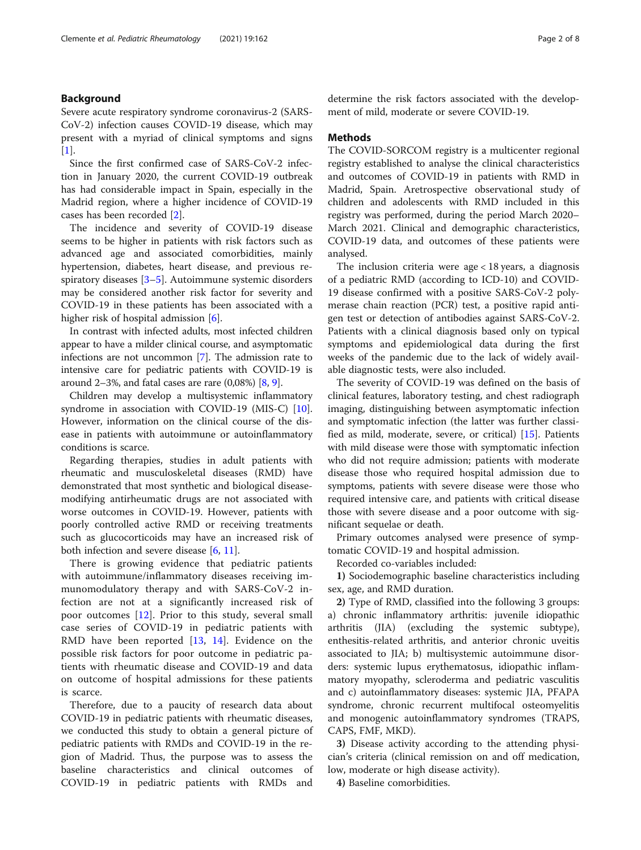#### Background

Severe acute respiratory syndrome coronavirus-2 (SARS-CoV-2) infection causes COVID-19 disease, which may present with a myriad of clinical symptoms and signs  $[1]$  $[1]$ .

Since the first confirmed case of SARS-CoV-2 infection in January 2020, the current COVID-19 outbreak has had considerable impact in Spain, especially in the Madrid region, where a higher incidence of COVID-19 cases has been recorded [\[2](#page-6-0)].

The incidence and severity of COVID-19 disease seems to be higher in patients with risk factors such as advanced age and associated comorbidities, mainly hypertension, diabetes, heart disease, and previous respiratory diseases [\[3](#page-6-0)–[5\]](#page-6-0). Autoimmune systemic disorders may be considered another risk factor for severity and COVID-19 in these patients has been associated with a higher risk of hospital admission [[6](#page-6-0)].

In contrast with infected adults, most infected children appear to have a milder clinical course, and asymptomatic infections are not uncommon [[7\]](#page-6-0). The admission rate to intensive care for pediatric patients with COVID-19 is around 2–3%, and fatal cases are rare  $(0.08\%)$  [\[8](#page-6-0), [9\]](#page-6-0).

Children may develop a multisystemic inflammatory syndrome in association with COVID-19 (MIS-C) [\[10](#page-6-0)]. However, information on the clinical course of the disease in patients with autoimmune or autoinflammatory conditions is scarce.

Regarding therapies, studies in adult patients with rheumatic and musculoskeletal diseases (RMD) have demonstrated that most synthetic and biological diseasemodifying antirheumatic drugs are not associated with worse outcomes in COVID-19. However, patients with poorly controlled active RMD or receiving treatments such as glucocorticoids may have an increased risk of both infection and severe disease [[6,](#page-6-0) [11\]](#page-6-0).

There is growing evidence that pediatric patients with autoimmune/inflammatory diseases receiving immunomodulatory therapy and with SARS-CoV-2 infection are not at a significantly increased risk of poor outcomes [[12\]](#page-6-0). Prior to this study, several small case series of COVID-19 in pediatric patients with RMD have been reported [\[13](#page-6-0), [14](#page-6-0)]. Evidence on the possible risk factors for poor outcome in pediatric patients with rheumatic disease and COVID-19 and data on outcome of hospital admissions for these patients is scarce.

Therefore, due to a paucity of research data about COVID-19 in pediatric patients with rheumatic diseases, we conducted this study to obtain a general picture of pediatric patients with RMDs and COVID-19 in the region of Madrid. Thus, the purpose was to assess the baseline characteristics and clinical outcomes of COVID-19 in pediatric patients with RMDs and

determine the risk factors associated with the development of mild, moderate or severe COVID-19.

#### Methods

The COVID-SORCOM registry is a multicenter regional registry established to analyse the clinical characteristics and outcomes of COVID-19 in patients with RMD in Madrid, Spain. Aretrospective observational study of children and adolescents with RMD included in this registry was performed, during the period March 2020– March 2021. Clinical and demographic characteristics, COVID-19 data, and outcomes of these patients were analysed.

The inclusion criteria were age < 18 years, a diagnosis of a pediatric RMD (according to ICD-10) and COVID-19 disease confirmed with a positive SARS-CoV-2 polymerase chain reaction (PCR) test, a positive rapid antigen test or detection of antibodies against SARS-CoV-2. Patients with a clinical diagnosis based only on typical symptoms and epidemiological data during the first weeks of the pandemic due to the lack of widely available diagnostic tests, were also included.

The severity of COVID-19 was defined on the basis of clinical features, laboratory testing, and chest radiograph imaging, distinguishing between asymptomatic infection and symptomatic infection (the latter was further classified as mild, moderate, severe, or critical) [\[15\]](#page-6-0). Patients with mild disease were those with symptomatic infection who did not require admission; patients with moderate disease those who required hospital admission due to symptoms, patients with severe disease were those who required intensive care, and patients with critical disease those with severe disease and a poor outcome with significant sequelae or death.

Primary outcomes analysed were presence of symptomatic COVID-19 and hospital admission.

Recorded co-variables included:

1) Sociodemographic baseline characteristics including sex, age, and RMD duration.

2) Type of RMD, classified into the following 3 groups: a) chronic inflammatory arthritis: juvenile idiopathic arthritis (JIA) (excluding the systemic subtype), enthesitis-related arthritis, and anterior chronic uveitis associated to JIA; b) multisystemic autoimmune disorders: systemic lupus erythematosus, idiopathic inflammatory myopathy, scleroderma and pediatric vasculitis and c) autoinflammatory diseases: systemic JIA, PFAPA syndrome, chronic recurrent multifocal osteomyelitis and monogenic autoinflammatory syndromes (TRAPS, CAPS, FMF, MKD).

3) Disease activity according to the attending physician's criteria (clinical remission on and off medication, low, moderate or high disease activity).

4) Baseline comorbidities.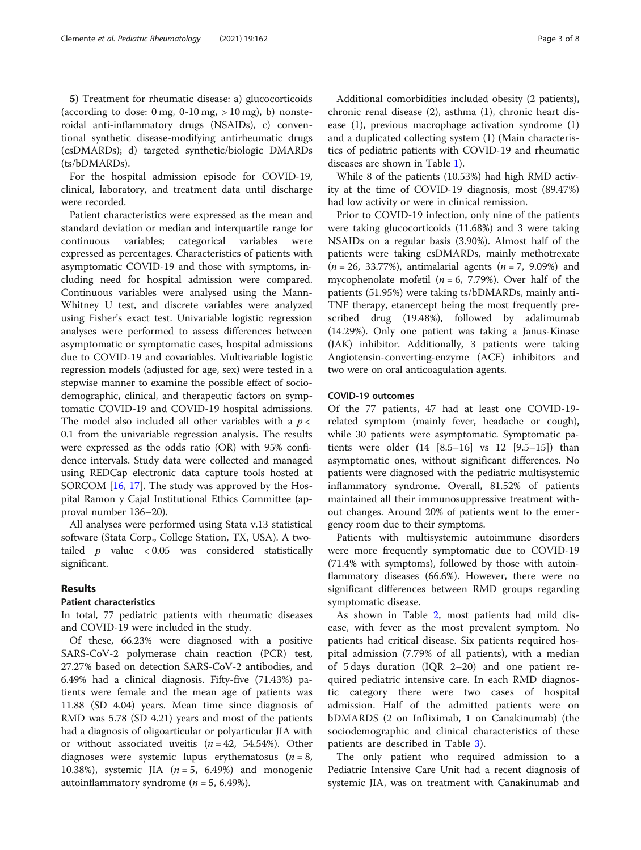5) Treatment for rheumatic disease: a) glucocorticoids (according to dose:  $0 \text{ mg}$ ,  $0-10 \text{ mg}$ ,  $> 10 \text{ mg}$ ), b) nonsteroidal anti-inflammatory drugs (NSAIDs), c) conventional synthetic disease-modifying antirheumatic drugs (csDMARDs); d) targeted synthetic/biologic DMARDs (ts/bDMARDs).

For the hospital admission episode for COVID-19, clinical, laboratory, and treatment data until discharge were recorded.

Patient characteristics were expressed as the mean and standard deviation or median and interquartile range for continuous variables; categorical variables were expressed as percentages. Characteristics of patients with asymptomatic COVID-19 and those with symptoms, including need for hospital admission were compared. Continuous variables were analysed using the Mann-Whitney U test, and discrete variables were analyzed using Fisher's exact test. Univariable logistic regression analyses were performed to assess differences between asymptomatic or symptomatic cases, hospital admissions due to COVID-19 and covariables. Multivariable logistic regression models (adjusted for age, sex) were tested in a stepwise manner to examine the possible effect of sociodemographic, clinical, and therapeutic factors on symptomatic COVID-19 and COVID-19 hospital admissions. The model also included all other variables with a  $p <$ 0.1 from the univariable regression analysis. The results were expressed as the odds ratio (OR) with 95% confidence intervals. Study data were collected and managed using REDCap electronic data capture tools hosted at SORCOM [\[16,](#page-6-0) [17\]](#page-6-0). The study was approved by the Hospital Ramon y Cajal Institutional Ethics Committee (approval number 136–20).

All analyses were performed using Stata v.13 statistical software (Stata Corp., College Station, TX, USA). A twotailed  $p$  value < 0.05 was considered statistically significant.

#### Results

#### Patient characteristics

In total, 77 pediatric patients with rheumatic diseases and COVID-19 were included in the study.

Of these, 66.23% were diagnosed with a positive SARS-CoV-2 polymerase chain reaction (PCR) test, 27.27% based on detection SARS-CoV-2 antibodies, and 6.49% had a clinical diagnosis. Fifty-five (71.43%) patients were female and the mean age of patients was 11.88 (SD 4.04) years. Mean time since diagnosis of RMD was 5.78 (SD 4.21) years and most of the patients had a diagnosis of oligoarticular or polyarticular JIA with or without associated uveitis  $(n = 42, 54.54)$ . Other diagnoses were systemic lupus erythematosus ( $n = 8$ , 10.38%), systemic JIA  $(n = 5, 6.49%)$  and monogenic autoinflammatory syndrome ( $n = 5$ , 6.49%).

Additional comorbidities included obesity (2 patients), chronic renal disease (2), asthma (1), chronic heart disease (1), previous macrophage activation syndrome (1) and a duplicated collecting system (1) (Main characteristics of pediatric patients with COVID-19 and rheumatic diseases are shown in Table [1\)](#page-3-0).

While 8 of the patients (10.53%) had high RMD activity at the time of COVID-19 diagnosis, most (89.47%) had low activity or were in clinical remission.

Prior to COVID-19 infection, only nine of the patients were taking glucocorticoids (11.68%) and 3 were taking NSAIDs on a regular basis (3.90%). Almost half of the patients were taking csDMARDs, mainly methotrexate  $(n = 26, 33.77%)$ , antimalarial agents  $(n = 7, 9.09%)$  and mycophenolate mofetil  $(n = 6, 7.79\%)$ . Over half of the patients (51.95%) were taking ts/bDMARDs, mainly anti-TNF therapy, etanercept being the most frequently prescribed drug (19.48%), followed by adalimumab (14.29%). Only one patient was taking a Janus-Kinase (JAK) inhibitor. Additionally, 3 patients were taking Angiotensin-converting-enzyme (ACE) inhibitors and two were on oral anticoagulation agents.

#### COVID-19 outcomes

Of the 77 patients, 47 had at least one COVID-19 related symptom (mainly fever, headache or cough), while 30 patients were asymptomatic. Symptomatic patients were older (14 [8.5–16] vs 12 [9.5–15]) than asymptomatic ones, without significant differences. No patients were diagnosed with the pediatric multisystemic inflammatory syndrome. Overall, 81.52% of patients maintained all their immunosuppressive treatment without changes. Around 20% of patients went to the emergency room due to their symptoms.

Patients with multisystemic autoimmune disorders were more frequently symptomatic due to COVID-19 (71.4% with symptoms), followed by those with autoinflammatory diseases (66.6%). However, there were no significant differences between RMD groups regarding symptomatic disease.

As shown in Table [2,](#page-4-0) most patients had mild disease, with fever as the most prevalent symptom. No patients had critical disease. Six patients required hospital admission (7.79% of all patients), with a median of 5 days duration (IQR 2–20) and one patient required pediatric intensive care. In each RMD diagnostic category there were two cases of hospital admission. Half of the admitted patients were on bDMARDS (2 on Infliximab, 1 on Canakinumab) (the sociodemographic and clinical characteristics of these patients are described in Table [3](#page-4-0)).

The only patient who required admission to a Pediatric Intensive Care Unit had a recent diagnosis of systemic JIA, was on treatment with Canakinumab and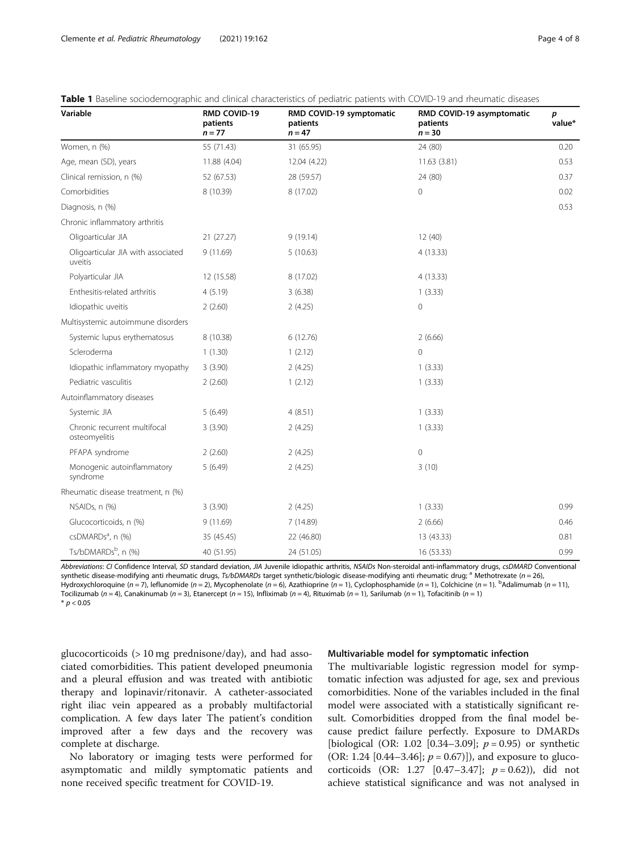| Variable                                      | <b>RMD COVID-19</b><br>patients<br>$n = 77$ | RMD COVID-19 symptomatic<br>patients<br>$n = 47$ | RMD COVID-19 asymptomatic<br>patients<br>$n = 30$ | p<br>value* |
|-----------------------------------------------|---------------------------------------------|--------------------------------------------------|---------------------------------------------------|-------------|
| Women, n (%)                                  | 55 (71.43)                                  | 31 (65.95)                                       | 24 (80)                                           | 0.20        |
| Age, mean (SD), years                         | 11.88 (4.04)                                | 12.04 (4.22)                                     | 11.63(3.81)                                       | 0.53        |
| Clinical remission, n (%)                     | 52 (67.53)                                  | 28 (59.57)                                       | 24 (80)                                           | 0.37        |
| Comorbidities                                 | 8 (10.39)                                   | 8 (17.02)                                        | $\mathbf 0$                                       | 0.02        |
| Diagnosis, n (%)                              |                                             |                                                  |                                                   | 0.53        |
| Chronic inflammatory arthritis                |                                             |                                                  |                                                   |             |
| Oligoarticular JIA                            | 21 (27.27)                                  | 9(19.14)                                         | 12(40)                                            |             |
| Oligoarticular JIA with associated<br>uveitis | 9(11.69)                                    | 5(10.63)                                         | 4(13.33)                                          |             |
| Polyarticular JIA                             | 12 (15.58)                                  | 8 (17.02)                                        | 4(13.33)                                          |             |
| Enthesitis-related arthritis                  | 4(5.19)                                     | 3(6.38)                                          | 1(3.33)                                           |             |
| Idiopathic uveitis                            | 2(2.60)                                     | 2(4.25)                                          | 0                                                 |             |
| Multisystemic autoimmune disorders            |                                             |                                                  |                                                   |             |
| Systemic lupus erythematosus                  | 8 (10.38)                                   | 6(12.76)                                         | 2(6.66)                                           |             |
| Scleroderma                                   | 1(1.30)                                     | 1(2.12)                                          | $\overline{0}$                                    |             |
| Idiopathic inflammatory myopathy              | 3(3.90)                                     | 2(4.25)                                          | 1(3.33)                                           |             |
| Pediatric vasculitis                          | 2(2.60)                                     | 1(2.12)                                          | 1(3.33)                                           |             |
| Autoinflammatory diseases                     |                                             |                                                  |                                                   |             |
| Systemic JIA                                  | 5(6.49)                                     | 4(8.51)                                          | 1(3.33)                                           |             |
| Chronic recurrent multifocal<br>osteomyelitis | 3(3.90)                                     | 2(4.25)                                          | 1(3.33)                                           |             |
| PFAPA syndrome                                | 2(2.60)                                     | 2(4.25)                                          | $\mathbf 0$                                       |             |
| Monogenic autoinflammatory<br>syndrome        | 5(6.49)                                     | 2(4.25)                                          | 3(10)                                             |             |
| Rheumatic disease treatment, n (%)            |                                             |                                                  |                                                   |             |
| NSAIDs, n (%)                                 | 3(3.90)                                     | 2(4.25)                                          | 1(3.33)                                           | 0.99        |
| Glucocorticoids, n (%)                        | 9(11.69)                                    | 7 (14.89)                                        | 2(6.66)                                           | 0.46        |
| csDMARDs <sup>a</sup> , n (%)                 | 35 (45.45)                                  | 22 (46.80)                                       | 13 (43.33)                                        | 0.81        |
| Ts/bDMARDsb, n (%)                            | 40 (51.95)                                  | 24 (51.05)                                       | 16 (53.33)                                        | 0.99        |

<span id="page-3-0"></span>

| <b>Table 1</b> Baseline sociodemographic and clinical characteristics of pediatric patients with COVID-19 and rheumatic diseases |  |
|----------------------------------------------------------------------------------------------------------------------------------|--|
|----------------------------------------------------------------------------------------------------------------------------------|--|

Abbreviations: CI Confidence Interval, SD standard deviation, JIA Juvenile idiopathic arthritis, NSAIDs Non-steroidal anti-inflammatory drugs, csDMARD Conventional synthetic disease-modifying anti rheumatic drugs, Ts/bDMARDs target synthetic/biologic disease-modifying anti rheumatic drug; <sup>a</sup> Methotrexate (n = 26), Hydroxychloroquine (n = 7), leflunomide (n = 2), Mycophenolate (n = 6), Azathioprine (n = 1), Cyclophosphamide (n = 1), Colchicine (n = 1). <sup>b</sup>Adalimumab (n = 11) Tocilizumab (n = 4), Canakinumab (n = 3), Etanercept (n = 15), Infliximab (n = 4), Rituximab (n = 1), Sarilumab (n = 1), Tofacitinib (n = 1)  $*$   $p < 0.05$ 

glucocorticoids (> 10 mg prednisone/day), and had associated comorbidities. This patient developed pneumonia and a pleural effusion and was treated with antibiotic therapy and lopinavir/ritonavir. A catheter-associated right iliac vein appeared as a probably multifactorial complication. A few days later The patient's condition improved after a few days and the recovery was complete at discharge.

No laboratory or imaging tests were performed for asymptomatic and mildly symptomatic patients and none received specific treatment for COVID-19.

#### Multivariable model for symptomatic infection

The multivariable logistic regression model for symptomatic infection was adjusted for age, sex and previous comorbidities. None of the variables included in the final model were associated with a statistically significant result. Comorbidities dropped from the final model because predict failure perfectly. Exposure to DMARDs [biological (OR: 1.02 [0.34–3.09];  $p = 0.95$ ) or synthetic (OR: 1.24 [0.44–3.46];  $p = 0.67$ ]), and exposure to glucocorticoids (OR: 1.27 [0.47–3.47];  $p = 0.62$ )), did not achieve statistical significance and was not analysed in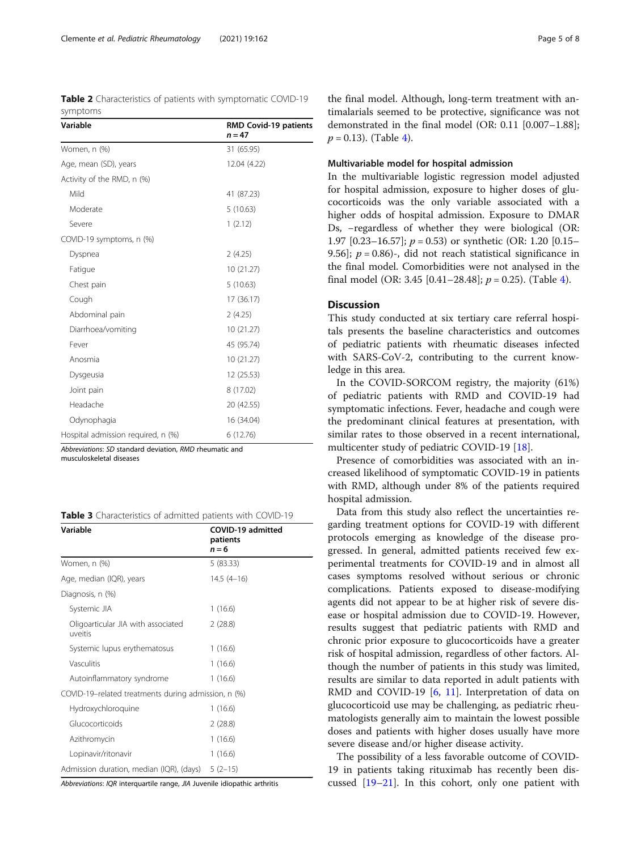<span id="page-4-0"></span>Table 2 Characteristics of patients with symptomatic COVID-19 symptoms

| Variable                           | <b>RMD Covid-19 patients</b><br>$n = 47$ |
|------------------------------------|------------------------------------------|
| Women, n (%)                       | 31 (65.95)                               |
| Age, mean (SD), years              | 12.04 (4.22)                             |
| Activity of the RMD, n (%)         |                                          |
| Mild                               | 41 (87.23)                               |
| Moderate                           | 5(10.63)                                 |
| Severe                             | 1(2.12)                                  |
| COVID-19 symptoms, n (%)           |                                          |
| Dyspnea                            | 2(4.25)                                  |
| Fatigue                            | 10 (21.27)                               |
| Chest pain                         | 5(10.63)                                 |
| Cough                              | 17 (36.17)                               |
| Abdominal pain                     | 2(4.25)                                  |
| Diarrhoea/vomiting                 | 10 (21.27)                               |
| Fever                              | 45 (95.74)                               |
| Anosmia                            | 10 (21.27)                               |
| Dysgeusia                          | 12 (25.53)                               |
| Joint pain                         | 8 (17.02)                                |
| Headache                           | 20 (42.55)                               |
| Odynophagia                        | 16 (34.04)                               |
| Hospital admission required, n (%) | 6 (12.76)                                |

Abbreviations: SD standard deviation, RMD rheumatic and musculoskeletal diseases

|  | Table 3 Characteristics of admitted patients with COVID-19 |  |  |  |  |  |
|--|------------------------------------------------------------|--|--|--|--|--|
|--|------------------------------------------------------------|--|--|--|--|--|

| Variable                                            | COVID-19 admitted<br>patients<br>$n = 6$ |
|-----------------------------------------------------|------------------------------------------|
| Women, n (%)                                        | 5(83.33)                                 |
| Age, median (IQR), years                            | $14.5(4-16)$                             |
| Diagnosis, n (%)                                    |                                          |
| Systemic JIA                                        | 1(16.6)                                  |
| Oligoarticular JIA with associated<br>uveitis       | 2(28.8)                                  |
| Systemic lupus erythematosus                        | 1(16.6)                                  |
| Vasculitis                                          | 1(16.6)                                  |
| Autoinflammatory syndrome                           | 1(16.6)                                  |
| COVID-19-related treatments during admission, n (%) |                                          |
| Hydroxychloroquine                                  | 1(16.6)                                  |
| Glucocorticoids                                     | 2(28.8)                                  |
| Azithromycin                                        | 1(16.6)                                  |
| Lopinavir/ritonavir                                 | 1(16.6)                                  |
| Admission duration, median (IQR), (days)            | $5(2-15)$                                |

Abbreviations: IQR interquartile range, JIA Juvenile idiopathic arthritis

the final model. Although, long-term treatment with antimalarials seemed to be protective, significance was not demonstrated in the final model (OR: 0.11 [0.007–1.88];  $p = 0.13$ . (Table [4\)](#page-5-0).

#### Multivariable model for hospital admission

In the multivariable logistic regression model adjusted for hospital admission, exposure to higher doses of glucocorticoids was the only variable associated with a higher odds of hospital admission. Exposure to DMAR Ds, -regardless of whether they were biological (OR: 1.97 [0.23–16.57];  $p = 0.53$  or synthetic (OR: 1.20 [0.15– 9.56];  $p = 0.86$ -, did not reach statistical significance in the final model. Comorbidities were not analysed in the final model (OR: 3.45 [0.41–28.48];  $p = 0.25$ ). (Table [4\)](#page-5-0).

### **Discussion**

This study conducted at six tertiary care referral hospitals presents the baseline characteristics and outcomes of pediatric patients with rheumatic diseases infected with SARS-CoV-2, contributing to the current knowledge in this area.

In the COVID-SORCOM registry, the majority (61%) of pediatric patients with RMD and COVID-19 had symptomatic infections. Fever, headache and cough were the predominant clinical features at presentation, with similar rates to those observed in a recent international, multicenter study of pediatric COVID-19 [\[18\]](#page-6-0).

Presence of comorbidities was associated with an increased likelihood of symptomatic COVID-19 in patients with RMD, although under 8% of the patients required hospital admission.

Data from this study also reflect the uncertainties regarding treatment options for COVID-19 with different protocols emerging as knowledge of the disease progressed. In general, admitted patients received few experimental treatments for COVID-19 and in almost all cases symptoms resolved without serious or chronic complications. Patients exposed to disease-modifying agents did not appear to be at higher risk of severe disease or hospital admission due to COVID-19. However, results suggest that pediatric patients with RMD and chronic prior exposure to glucocorticoids have a greater risk of hospital admission, regardless of other factors. Although the number of patients in this study was limited, results are similar to data reported in adult patients with RMD and COVID-19 [[6,](#page-6-0) [11\]](#page-6-0). Interpretation of data on glucocorticoid use may be challenging, as pediatric rheumatologists generally aim to maintain the lowest possible doses and patients with higher doses usually have more severe disease and/or higher disease activity.

The possibility of a less favorable outcome of COVID-19 in patients taking rituximab has recently been discussed [\[19](#page-6-0)–[21\]](#page-7-0). In this cohort, only one patient with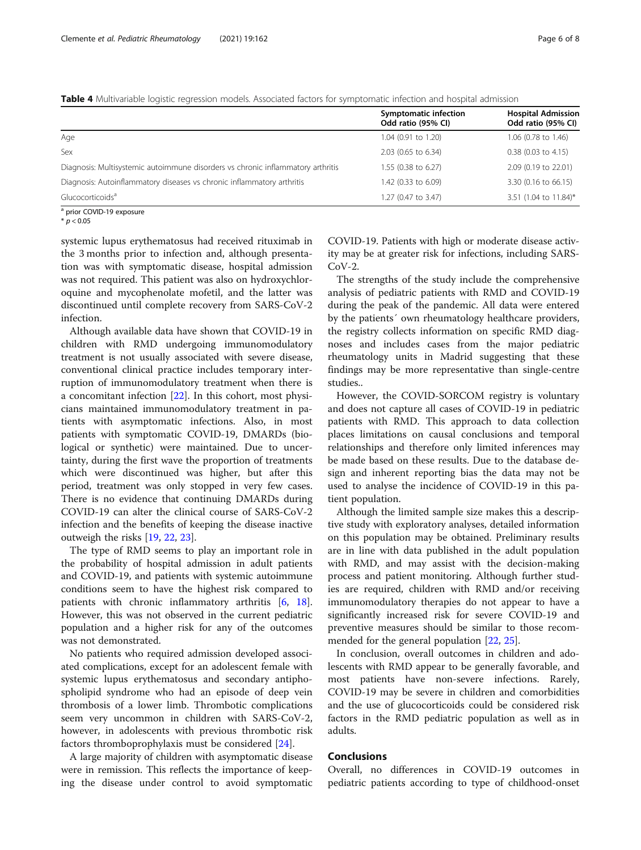<span id="page-5-0"></span>Table 4 Multivariable logistic regression models. Associated factors for symptomatic infection and hospital admission

|                                                                                 | Symptomatic infection<br>Odd ratio (95% CI) | <b>Hospital Admission</b><br>Odd ratio (95% CI) |
|---------------------------------------------------------------------------------|---------------------------------------------|-------------------------------------------------|
| Age                                                                             | 1.04 (0.91 to 1.20)                         | 1.06 (0.78 to 1.46)                             |
| Sex                                                                             | 2.03 (0.65 to 6.34)                         | $0.38$ (0.03 to 4.15)                           |
| Diagnosis: Multisystemic autoimmune disorders vs chronic inflammatory arthritis | 1.55 (0.38 to 6.27)                         | 2.09 (0.19 to 22.01)                            |
| Diagnosis: Autoinflammatory diseases vs chronic inflammatory arthritis          | 1.42 (0.33 to 6.09)                         | 3.30 (0.16 to 66.15)                            |
| Glucocorticoids <sup>a</sup>                                                    | 1.27 (0.47 to 3.47)                         | 3.51 (1.04 to 11.84)*                           |

<sup>a</sup> prior COVID-19 exposure

 $* n < 0.05$ 

systemic lupus erythematosus had received rituximab in the 3 months prior to infection and, although presentation was with symptomatic disease, hospital admission was not required. This patient was also on hydroxychloroquine and mycophenolate mofetil, and the latter was discontinued until complete recovery from SARS-CoV-2 infection.

Although available data have shown that COVID-19 in children with RMD undergoing immunomodulatory treatment is not usually associated with severe disease, conventional clinical practice includes temporary interruption of immunomodulatory treatment when there is a concomitant infection [\[22](#page-7-0)]. In this cohort, most physicians maintained immunomodulatory treatment in patients with asymptomatic infections. Also, in most patients with symptomatic COVID-19, DMARDs (biological or synthetic) were maintained. Due to uncertainty, during the first wave the proportion of treatments which were discontinued was higher, but after this period, treatment was only stopped in very few cases. There is no evidence that continuing DMARDs during COVID-19 can alter the clinical course of SARS-CoV-2 infection and the benefits of keeping the disease inactive outweigh the risks [[19,](#page-6-0) [22](#page-7-0), [23](#page-7-0)].

The type of RMD seems to play an important role in the probability of hospital admission in adult patients and COVID-19, and patients with systemic autoimmune conditions seem to have the highest risk compared to patients with chronic inflammatory arthritis [[6,](#page-6-0) [18](#page-6-0)]. However, this was not observed in the current pediatric population and a higher risk for any of the outcomes was not demonstrated.

No patients who required admission developed associated complications, except for an adolescent female with systemic lupus erythematosus and secondary antiphospholipid syndrome who had an episode of deep vein thrombosis of a lower limb. Thrombotic complications seem very uncommon in children with SARS-CoV-2, however, in adolescents with previous thrombotic risk factors thromboprophylaxis must be considered [[24\]](#page-7-0).

A large majority of children with asymptomatic disease were in remission. This reflects the importance of keeping the disease under control to avoid symptomatic

COVID-19. Patients with high or moderate disease activity may be at greater risk for infections, including SARS- $CoV-2$ .

The strengths of the study include the comprehensive analysis of pediatric patients with RMD and COVID-19 during the peak of the pandemic. All data were entered by the patients´ own rheumatology healthcare providers, the registry collects information on specific RMD diagnoses and includes cases from the major pediatric rheumatology units in Madrid suggesting that these findings may be more representative than single-centre studies..

However, the COVID-SORCOM registry is voluntary and does not capture all cases of COVID-19 in pediatric patients with RMD. This approach to data collection places limitations on causal conclusions and temporal relationships and therefore only limited inferences may be made based on these results. Due to the database design and inherent reporting bias the data may not be used to analyse the incidence of COVID-19 in this patient population.

Although the limited sample size makes this a descriptive study with exploratory analyses, detailed information on this population may be obtained. Preliminary results are in line with data published in the adult population with RMD, and may assist with the decision-making process and patient monitoring. Although further studies are required, children with RMD and/or receiving immunomodulatory therapies do not appear to have a significantly increased risk for severe COVID-19 and preventive measures should be similar to those recommended for the general population [[22](#page-7-0), [25](#page-7-0)].

In conclusion, overall outcomes in children and adolescents with RMD appear to be generally favorable, and most patients have non-severe infections. Rarely, COVID-19 may be severe in children and comorbidities and the use of glucocorticoids could be considered risk factors in the RMD pediatric population as well as in adults.

#### Conclusions

Overall, no differences in COVID-19 outcomes in pediatric patients according to type of childhood-onset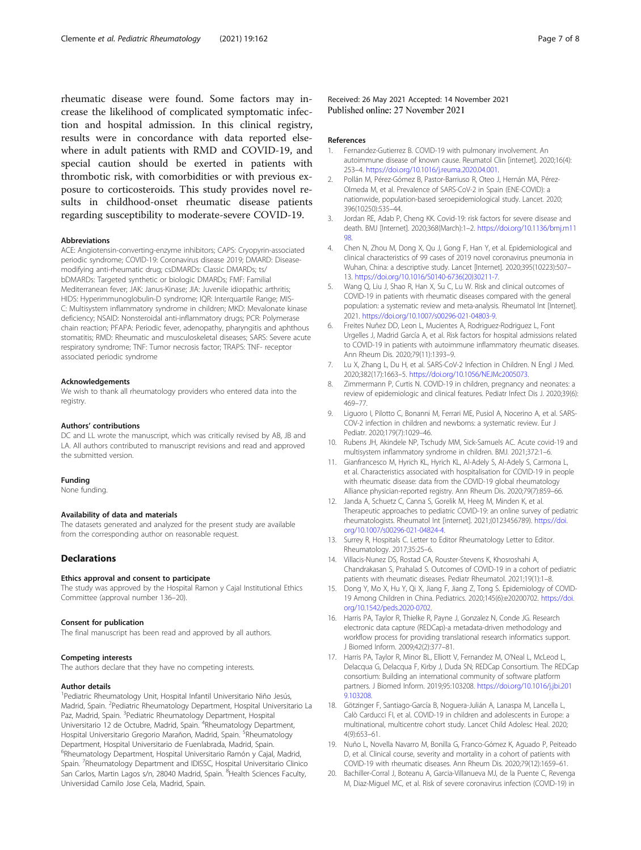<span id="page-6-0"></span>rheumatic disease were found. Some factors may increase the likelihood of complicated symptomatic infection and hospital admission. In this clinical registry, results were in concordance with data reported elsewhere in adult patients with RMD and COVID-19, and special caution should be exerted in patients with thrombotic risk, with comorbidities or with previous exposure to corticosteroids. This study provides novel results in childhood-onset rheumatic disease patients regarding susceptibility to moderate-severe COVID-19.

#### Abbreviations

ACE: Angiotensin-converting-enzyme inhibitors; CAPS: Cryopyrin-associated periodic syndrome; COVID-19: Coronavirus disease 2019; DMARD: Diseasemodifying anti-rheumatic drug; csDMARDs: Classic DMARDs; ts/ bDMARDs: Targeted synthetic or biologic DMARDs; FMF: Familial Mediterranean fever; JAK: Janus-Kinase; JIA: Juvenile idiopathic arthritis; HIDS: Hyperimmunoglobulin-D syndrome; IQR: Interquartile Range; MIS-C: Multisystem inflammatory syndrome in children; MKD: Mevalonate kinase deficiency; NSAID: Nonsteroidal anti-inflammatory drugs; PCR: Polymerase chain reaction; PFAPA: Periodic fever, adenopathy, pharyngitis and aphthous stomatitis; RMD: Rheumatic and musculoskeletal diseases; SARS: Severe acute respiratory syndrome; TNF: Tumor necrosis factor; TRAPS: TNF- receptor associated periodic syndrome

#### Acknowledgements

We wish to thank all rheumatology providers who entered data into the registry.

#### Authors' contributions

DC and LL wrote the manuscript, which was critically revised by AB, JB and LA. All authors contributed to manuscript revisions and read and approved the submitted version.

#### Funding

None funding.

#### Availability of data and materials

The datasets generated and analyzed for the present study are available from the corresponding author on reasonable request.

#### **Declarations**

#### Ethics approval and consent to participate

The study was approved by the Hospital Ramon y Cajal Institutional Ethics Committee (approval number 136–20).

#### Consent for publication

The final manuscript has been read and approved by all authors.

#### Competing interests

The authors declare that they have no competing interests.

#### Author details

<sup>1</sup> Pediatric Rheumatology Unit, Hospital Infantil Universitario Niño Jesús, Madrid, Spain. <sup>2</sup>Pediatric Rheumatology Department, Hospital Universitario La Paz, Madrid, Spain. <sup>3</sup>Pediatric Rheumatology Department, Hospital Universitario 12 de Octubre, Madrid, Spain. <sup>4</sup>Rheumatology Department, Hospital Universitario Gregorio Marañon, Madrid, Spain. <sup>5</sup>Rheumatology Department, Hospital Universitario de Fuenlabrada, Madrid, Spain. <sup>6</sup>Rheumatology Department, Hospital Universitario Ramón y Cajal, Madrid, Spain. <sup>7</sup> Rheumatology Department and IDISSC, Hospital Universitario Clinico San Carlos, Martin Lagos s/n, 28040 Madrid, Spain. <sup>8</sup>Health Sciences Faculty, Universidad Camilo Jose Cela, Madrid, Spain.

Received: 26 May 2021 Accepted: 14 November 2021 Published online: 27 November 2021

#### References

- 1. Fernandez-Gutierrez B. COVID-19 with pulmonary involvement. An autoimmune disease of known cause. Reumatol Clin [internet]. 2020;16(4): 253–4. [https://doi.org/10.1016/j.reuma.2020.04.001.](https://doi.org/10.1016/j.reuma.2020.04.001)
- 2. Pollán M, Pérez-Gómez B, Pastor-Barriuso R, Oteo J, Hernán MA, Pérez-Olmeda M, et al. Prevalence of SARS-CoV-2 in Spain (ENE-COVID): a nationwide, population-based seroepidemiological study. Lancet. 2020; 396(10250):535–44.
- 3. Jordan RE, Adab P, Cheng KK. Covid-19: risk factors for severe disease and death. BMJ [Internet]. 2020;368(March):1–2. [https://doi.org/10.1136/bmj.m11](https://doi.org/10.1136/bmj.m1198) [98.](https://doi.org/10.1136/bmj.m1198)
- 4. Chen N, Zhou M, Dong X, Qu J, Gong F, Han Y, et al. Epidemiological and clinical characteristics of 99 cases of 2019 novel coronavirus pneumonia in Wuhan, China: a descriptive study. Lancet [Internet]. 2020;395(10223):507– 13. [https://doi.org/10.1016/S0140-6736\(20\)30211-7.](https://doi.org/10.1016/S0140-6736(20)30211-7)
- 5. Wang Q, Liu J, Shao R, Han X, Su C, Lu W. Risk and clinical outcomes of COVID-19 in patients with rheumatic diseases compared with the general population: a systematic review and meta-analysis. Rheumatol Int [Internet]. 2021. [https://doi.org/10.1007/s00296-021-04803-9.](https://doi.org/10.1007/s00296-021-04803-9)
- 6. Freites Nuñez DD, Leon L, Mucientes A, Rodriguez-Rodriguez L, Font Urgelles J, Madrid García A, et al. Risk factors for hospital admissions related to COVID-19 in patients with autoimmune inflammatory rheumatic diseases. Ann Rheum Dis. 2020;79(11):1393–9.
- 7. Lu X, Zhang L, Du H, et al. SARS-CoV-2 Infection in Children. N Engl J Med. 2020;382(17):1663–5. <https://doi.org/10.1056/NEJMc2005073>.
- Zimmermann P, Curtis N. COVID-19 in children, pregnancy and neonates: a review of epidemiologic and clinical features. Pediatr Infect Dis J. 2020;39(6): 469–77.
- 9. Liguoro I, Pilotto C, Bonanni M, Ferrari ME, Pusiol A, Nocerino A, et al. SARS-COV-2 infection in children and newborns: a systematic review. Eur J Pediatr. 2020;179(7):1029–46.
- 10. Rubens JH, Akindele NP, Tschudy MM, Sick-Samuels AC. Acute covid-19 and multisystem inflammatory syndrome in children. BMJ. 2021;372:1–6.
- 11. Gianfrancesco M, Hyrich KL, Hyrich KL, Al-Adely S, Al-Adely S, Carmona L, et al. Characteristics associated with hospitalisation for COVID-19 in people with rheumatic disease: data from the COVID-19 global rheumatology Alliance physician-reported registry. Ann Rheum Dis. 2020;79(7):859–66.
- 12. Janda A, Schuetz C, Canna S, Gorelik M, Heeg M, Minden K, et al. Therapeutic approaches to pediatric COVID-19: an online survey of pediatric rheumatologists. Rheumatol Int [internet]. 2021;(0123456789). [https://doi.](https://doi.org/10.1007/s00296-021-04824-4) [org/10.1007/s00296-021-04824-4.](https://doi.org/10.1007/s00296-021-04824-4)
- 13. Surrey R, Hospitals C. Letter to Editor Rheumatology Letter to Editor. Rheumatology. 2017;35:25–6.
- 14. Villacis-Nunez DS, Rostad CA, Rouster-Stevens K, Khosroshahi A, Chandrakasan S, Prahalad S. Outcomes of COVID-19 in a cohort of pediatric patients with rheumatic diseases. Pediatr Rheumatol. 2021;19(1):1–8.
- 15. Dong Y, Mo X, Hu Y, Qi X, Jiang F, Jiang Z, Tong S. Epidemiology of COVID-19 Among Children in China. Pediatrics. 2020;145(6):e20200702. [https://doi.](https://doi.org/10.1542/peds.2020-0702) [org/10.1542/peds.2020-0702](https://doi.org/10.1542/peds.2020-0702).
- 16. Harris PA, Taylor R, Thielke R, Payne J, Gonzalez N, Conde JG. Research electronic data capture (REDCap)-a metadata-driven methodology and workflow process for providing translational research informatics support. J Biomed Inform. 2009;42(2):377–81.
- 17. Harris PA, Taylor R, Minor BL, Elliott V, Fernandez M, O'Neal L, McLeod L, Delacqua G, Delacqua F, Kirby J, Duda SN; REDCap Consortium. The REDCap consortium: Building an international community of software platform partners. J Biomed Inform. 2019;95:103208. [https://doi.org/10.1016/j.jbi.201](https://doi.org/10.1016/j.jbi.2019.103208) [9.103208.](https://doi.org/10.1016/j.jbi.2019.103208)
- 18. Götzinger F, Santiago-García B, Noguera-Julián A, Lanaspa M, Lancella L, Calò Carducci FI, et al. COVID-19 in children and adolescents in Europe: a multinational, multicentre cohort study. Lancet Child Adolesc Heal. 2020; 4(9):653–61.
- 19. Nuño L, Novella Navarro M, Bonilla G, Franco-Gómez K, Aguado P, Peiteado D, et al. Clinical course, severity and mortality in a cohort of patients with COVID-19 with rheumatic diseases. Ann Rheum Dis. 2020;79(12):1659–61.
- 20. Bachiller-Corral J, Boteanu A, Garcia-Villanueva MJ, de la Puente C, Revenga M, Diaz-Miguel MC, et al. Risk of severe coronavirus infection (COVID-19) in